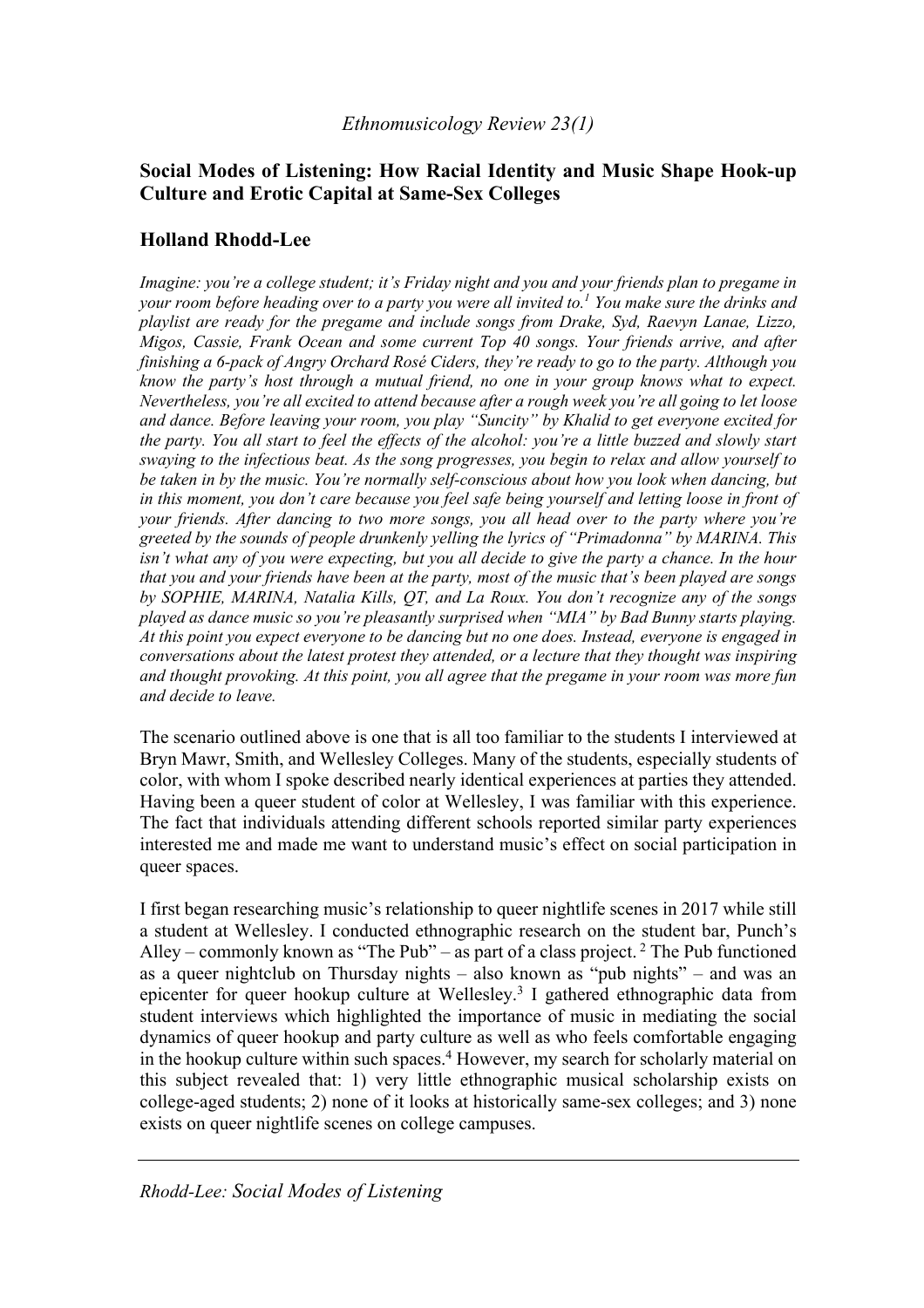# **Social Modes of Listening: How Racial Identity and Music Shape Hook-up Culture and Erotic Capital at Same-Sex Colleges**

# **Holland Rhodd-Lee**

*Imagine: you're a college student; it's Friday night and you and your friends plan to pregame in your room before heading over to a party you were all invited to.1 You make sure the drinks and playlist are ready for the pregame and include songs from Drake, Syd, Raevyn Lanae, Lizzo, Migos, Cassie, Frank Ocean and some current Top 40 songs. Your friends arrive, and after finishing a 6-pack of Angry Orchard Rosé Ciders, they're ready to go to the party. Although you know the party's host through a mutual friend, no one in your group knows what to expect. Nevertheless, you're all excited to attend because after a rough week you're all going to let loose and dance. Before leaving your room, you play "Suncity" by Khalid to get everyone excited for the party. You all start to feel the effects of the alcohol: you're a little buzzed and slowly start swaying to the infectious beat. As the song progresses, you begin to relax and allow yourself to be taken in by the music. You're normally self-conscious about how you look when dancing, but in this moment, you don't care because you feel safe being yourself and letting loose in front of your friends. After dancing to two more songs, you all head over to the party where you're greeted by the sounds of people drunkenly yelling the lyrics of "Primadonna" by MARINA. This isn't what any of you were expecting, but you all decide to give the party a chance. In the hour that you and your friends have been at the party, most of the music that's been played are songs by SOPHIE, MARINA, Natalia Kills, QT, and La Roux. You don't recognize any of the songs played as dance music so you're pleasantly surprised when "MIA" by Bad Bunny starts playing. At this point you expect everyone to be dancing but no one does. Instead, everyone is engaged in conversations about the latest protest they attended, or a lecture that they thought was inspiring and thought provoking. At this point, you all agree that the pregame in your room was more fun and decide to leave.*

The scenario outlined above is one that is all too familiar to the students I interviewed at Bryn Mawr, Smith, and Wellesley Colleges. Many of the students, especially students of color, with whom I spoke described nearly identical experiences at parties they attended. Having been a queer student of color at Wellesley, I was familiar with this experience. The fact that individuals attending different schools reported similar party experiences interested me and made me want to understand music's effect on social participation in queer spaces.

I first began researching music's relationship to queer nightlife scenes in 2017 while still a student at Wellesley. I conducted ethnographic research on the student bar, Punch's Alley – commonly known as "The Pub" – as part of a class project.  $2$  The Pub functioned as a queer nightclub on Thursday nights – also known as "pub nights" – and was an epicenter for queer hookup culture at Wellesley.3 I gathered ethnographic data from student interviews which highlighted the importance of music in mediating the social dynamics of queer hookup and party culture as well as who feels comfortable engaging in the hookup culture within such spaces.<sup>4</sup> However, my search for scholarly material on this subject revealed that: 1) very little ethnographic musical scholarship exists on college-aged students; 2) none of it looks at historically same-sex colleges; and 3) none exists on queer nightlife scenes on college campuses.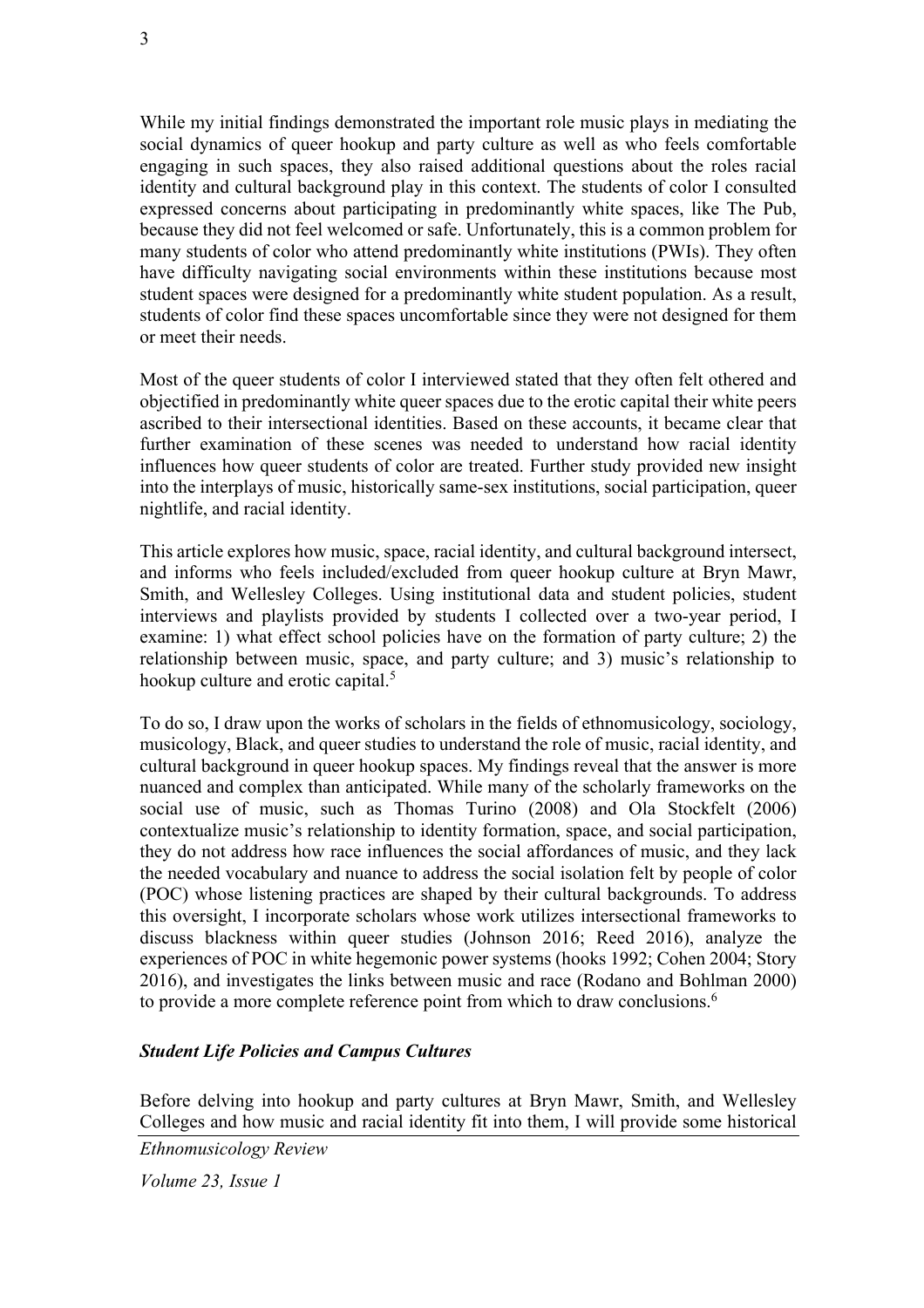While my initial findings demonstrated the important role music plays in mediating the social dynamics of queer hookup and party culture as well as who feels comfortable engaging in such spaces, they also raised additional questions about the roles racial identity and cultural background play in this context. The students of color I consulted expressed concerns about participating in predominantly white spaces, like The Pub, because they did not feel welcomed or safe. Unfortunately, this is a common problem for many students of color who attend predominantly white institutions (PWIs). They often have difficulty navigating social environments within these institutions because most student spaces were designed for a predominantly white student population. As a result, students of color find these spaces uncomfortable since they were not designed for them or meet their needs.

Most of the queer students of color I interviewed stated that they often felt othered and objectified in predominantly white queer spaces due to the erotic capital their white peers ascribed to their intersectional identities. Based on these accounts, it became clear that further examination of these scenes was needed to understand how racial identity influences how queer students of color are treated. Further study provided new insight into the interplays of music, historically same-sex institutions, social participation, queer nightlife, and racial identity.

This article explores how music, space, racial identity, and cultural background intersect, and informs who feels included/excluded from queer hookup culture at Bryn Mawr, Smith, and Wellesley Colleges. Using institutional data and student policies, student interviews and playlists provided by students I collected over a two-year period, I examine: 1) what effect school policies have on the formation of party culture; 2) the relationship between music, space, and party culture; and 3) music's relationship to hookup culture and erotic capital.<sup>5</sup>

To do so, I draw upon the works of scholars in the fields of ethnomusicology, sociology, musicology, Black, and queer studies to understand the role of music, racial identity, and cultural background in queer hookup spaces. My findings reveal that the answer is more nuanced and complex than anticipated. While many of the scholarly frameworks on the social use of music, such as Thomas Turino (2008) and Ola Stockfelt (2006) contextualize music's relationship to identity formation, space, and social participation, they do not address how race influences the social affordances of music, and they lack the needed vocabulary and nuance to address the social isolation felt by people of color (POC) whose listening practices are shaped by their cultural backgrounds. To address this oversight, I incorporate scholars whose work utilizes intersectional frameworks to discuss blackness within queer studies (Johnson 2016; Reed 2016), analyze the experiences of POC in white hegemonic power systems (hooks 1992; Cohen 2004; Story 2016), and investigates the links between music and race (Rodano and Bohlman 2000) to provide a more complete reference point from which to draw conclusions.<sup>6</sup>

### *Student Life Policies and Campus Cultures*

Before delving into hookup and party cultures at Bryn Mawr, Smith, and Wellesley Colleges and how music and racial identity fit into them, I will provide some historical

*Ethnomusicology Review*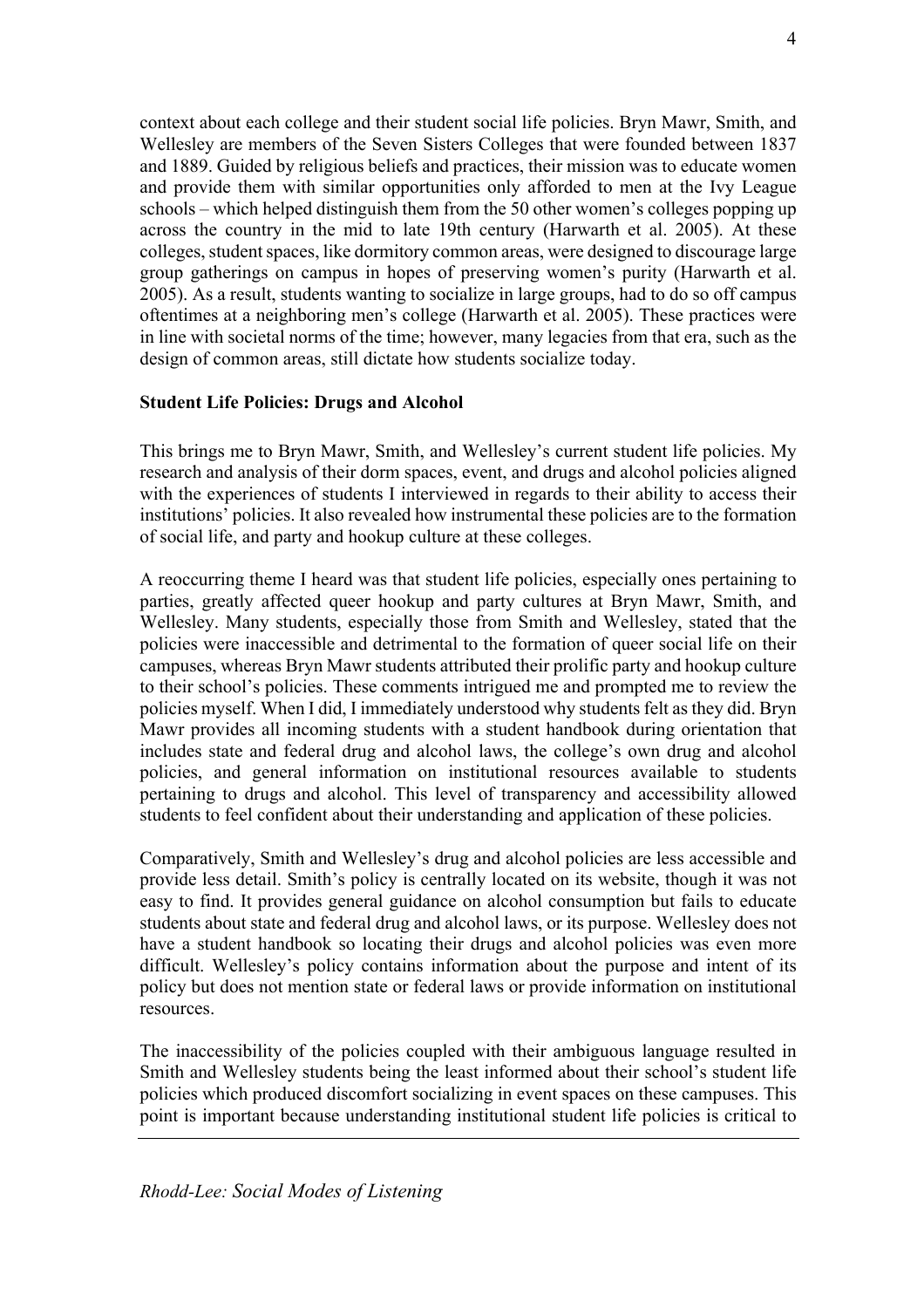context about each college and their student social life policies. Bryn Mawr, Smith, and Wellesley are members of the Seven Sisters Colleges that were founded between 1837 and 1889. Guided by religious beliefs and practices, their mission was to educate women and provide them with similar opportunities only afforded to men at the Ivy League schools – which helped distinguish them from the 50 other women's colleges popping up across the country in the mid to late 19th century (Harwarth et al. 2005). At these colleges, student spaces, like dormitory common areas, were designed to discourage large group gatherings on campus in hopes of preserving women's purity (Harwarth et al. 2005). As a result, students wanting to socialize in large groups, had to do so off campus oftentimes at a neighboring men's college (Harwarth et al. 2005). These practices were in line with societal norms of the time; however, many legacies from that era, such as the design of common areas, still dictate how students socialize today.

### **Student Life Policies: Drugs and Alcohol**

This brings me to Bryn Mawr, Smith, and Wellesley's current student life policies. My research and analysis of their dorm spaces, event, and drugs and alcohol policies aligned with the experiences of students I interviewed in regards to their ability to access their institutions' policies. It also revealed how instrumental these policies are to the formation of social life, and party and hookup culture at these colleges.

A reoccurring theme I heard was that student life policies, especially ones pertaining to parties, greatly affected queer hookup and party cultures at Bryn Mawr, Smith, and Wellesley. Many students, especially those from Smith and Wellesley, stated that the policies were inaccessible and detrimental to the formation of queer social life on their campuses, whereas Bryn Mawr students attributed their prolific party and hookup culture to their school's policies. These comments intrigued me and prompted me to review the policies myself. When I did, I immediately understood why students felt as they did. Bryn Mawr provides all incoming students with a student handbook during orientation that includes state and federal drug and alcohol laws, the college's own drug and alcohol policies, and general information on institutional resources available to students pertaining to drugs and alcohol. This level of transparency and accessibility allowed students to feel confident about their understanding and application of these policies.

Comparatively, Smith and Wellesley's drug and alcohol policies are less accessible and provide less detail. Smith's policy is centrally located on its website, though it was not easy to find. It provides general guidance on alcohol consumption but fails to educate students about state and federal drug and alcohol laws, or its purpose. Wellesley does not have a student handbook so locating their drugs and alcohol policies was even more difficult. Wellesley's policy contains information about the purpose and intent of its policy but does not mention state or federal laws or provide information on institutional resources.

The inaccessibility of the policies coupled with their ambiguous language resulted in Smith and Wellesley students being the least informed about their school's student life policies which produced discomfort socializing in event spaces on these campuses. This point is important because understanding institutional student life policies is critical to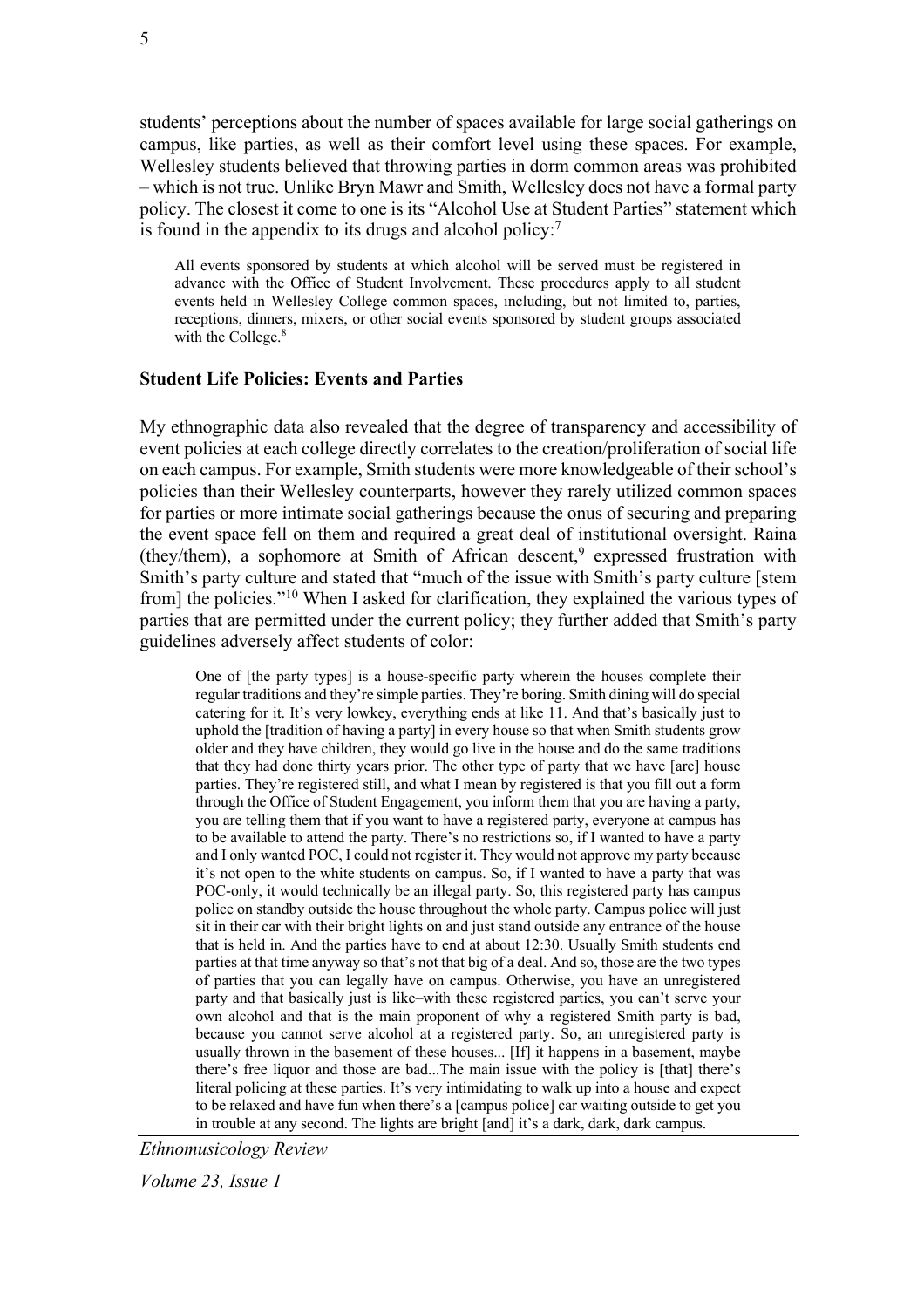students' perceptions about the number of spaces available for large social gatherings on campus, like parties, as well as their comfort level using these spaces. For example, Wellesley students believed that throwing parties in dorm common areas was prohibited – which is not true. Unlike Bryn Mawr and Smith, Wellesley does not have a formal party policy. The closest it come to one is its "Alcohol Use at Student Parties" statement which is found in the appendix to its drugs and alcohol policy:<sup>7</sup>

All events sponsored by students at which alcohol will be served must be registered in advance with the Office of Student Involvement. These procedures apply to all student events held in Wellesley College common spaces, including, but not limited to, parties, receptions, dinners, mixers, or other social events sponsored by student groups associated with the College.<sup>8</sup>

### **Student Life Policies: Events and Parties**

My ethnographic data also revealed that the degree of transparency and accessibility of event policies at each college directly correlates to the creation/proliferation of social life on each campus. For example, Smith students were more knowledgeable of their school's policies than their Wellesley counterparts, however they rarely utilized common spaces for parties or more intimate social gatherings because the onus of securing and preparing the event space fell on them and required a great deal of institutional oversight. Raina (they/them), a sophomore at Smith of African descent,<sup>9</sup> expressed frustration with Smith's party culture and stated that "much of the issue with Smith's party culture [stem from] the policies."10 When I asked for clarification, they explained the various types of parties that are permitted under the current policy; they further added that Smith's party guidelines adversely affect students of color:

One of [the party types] is a house-specific party wherein the houses complete their regular traditions and they're simple parties. They're boring. Smith dining will do special catering for it. It's very lowkey, everything ends at like 11. And that's basically just to uphold the [tradition of having a party] in every house so that when Smith students grow older and they have children, they would go live in the house and do the same traditions that they had done thirty years prior. The other type of party that we have [are] house parties. They're registered still, and what I mean by registered is that you fill out a form through the Office of Student Engagement, you inform them that you are having a party, you are telling them that if you want to have a registered party, everyone at campus has to be available to attend the party. There's no restrictions so, if I wanted to have a party and I only wanted POC, I could not register it. They would not approve my party because it's not open to the white students on campus. So, if I wanted to have a party that was POC-only, it would technically be an illegal party. So, this registered party has campus police on standby outside the house throughout the whole party. Campus police will just sit in their car with their bright lights on and just stand outside any entrance of the house that is held in. And the parties have to end at about 12:30. Usually Smith students end parties at that time anyway so that's not that big of a deal. And so, those are the two types of parties that you can legally have on campus. Otherwise, you have an unregistered party and that basically just is like–with these registered parties, you can't serve your own alcohol and that is the main proponent of why a registered Smith party is bad, because you cannot serve alcohol at a registered party. So, an unregistered party is usually thrown in the basement of these houses... [If] it happens in a basement, maybe there's free liquor and those are bad...The main issue with the policy is [that] there's literal policing at these parties. It's very intimidating to walk up into a house and expect to be relaxed and have fun when there's a [campus police] car waiting outside to get you in trouble at any second. The lights are bright [and] it's a dark, dark, dark campus.

*Ethnomusicology Review* 

*Volume 23, Issue 1*

5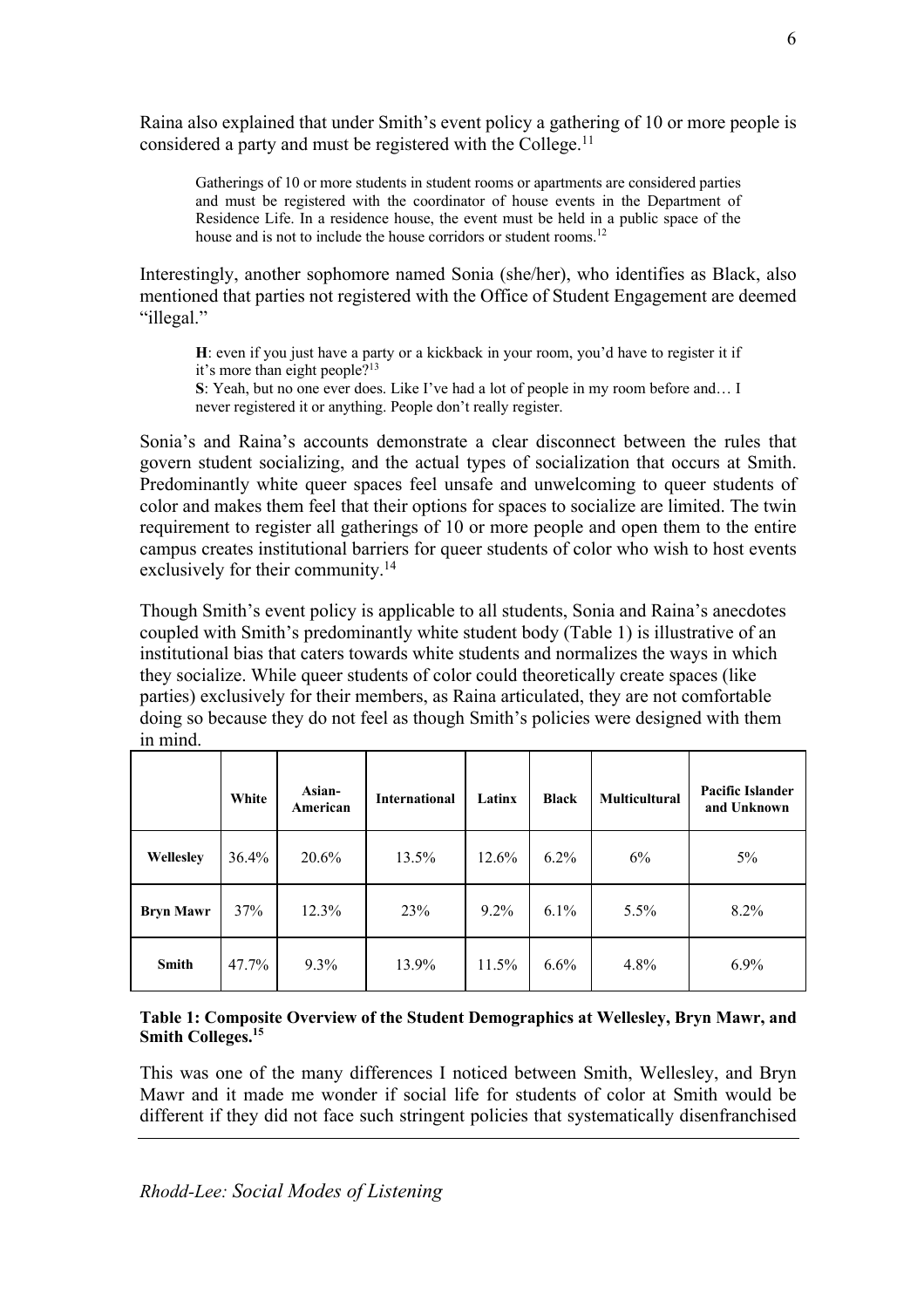Raina also explained that under Smith's event policy a gathering of 10 or more people is considered a party and must be registered with the College.<sup>11</sup>

Gatherings of 10 or more students in student rooms or apartments are considered parties and must be registered with the coordinator of house events in the Department of Residence Life. In a residence house, the event must be held in a public space of the house and is not to include the house corridors or student rooms.<sup>12</sup>

Interestingly, another sophomore named Sonia (she/her), who identifies as Black, also mentioned that parties not registered with the Office of Student Engagement are deemed "illegal."

**H**: even if you just have a party or a kickback in your room, you'd have to register it if it's more than eight people?13

**S**: Yeah, but no one ever does. Like I've had a lot of people in my room before and… I never registered it or anything. People don't really register.

Sonia's and Raina's accounts demonstrate a clear disconnect between the rules that govern student socializing, and the actual types of socialization that occurs at Smith. Predominantly white queer spaces feel unsafe and unwelcoming to queer students of color and makes them feel that their options for spaces to socialize are limited. The twin requirement to register all gatherings of 10 or more people and open them to the entire campus creates institutional barriers for queer students of color who wish to host events exclusively for their community.<sup>14</sup>

Though Smith's event policy is applicable to all students, Sonia and Raina's anecdotes coupled with Smith's predominantly white student body (Table 1) is illustrative of an institutional bias that caters towards white students and normalizes the ways in which they socialize. While queer students of color could theoretically create spaces (like parties) exclusively for their members, as Raina articulated, they are not comfortable doing so because they do not feel as though Smith's policies were designed with them in mind.

|                  | White | Asian-<br>American | <b>International</b> | Latinx  | <b>Black</b> | <b>Multicultural</b> | <b>Pacific Islander</b><br>and Unknown |
|------------------|-------|--------------------|----------------------|---------|--------------|----------------------|----------------------------------------|
| Wellesley        | 36.4% | 20.6%              | 13.5%                | 12.6%   | 6.2%         | 6%                   | $5\%$                                  |
| <b>Bryn Mawr</b> | 37%   | 12.3%              | 23%                  | $9.2\%$ | $6.1\%$      | $5.5\%$              | 8.2%                                   |
| <b>Smith</b>     | 47.7% | $9.3\%$            | 13.9%                | 11.5%   | 6.6%         | 4.8%                 | 6.9%                                   |

#### **Table 1: Composite Overview of the Student Demographics at Wellesley, Bryn Mawr, and Smith Colleges.**<sup>15</sup>

This was one of the many differences I noticed between Smith, Wellesley, and Bryn Mawr and it made me wonder if social life for students of color at Smith would be different if they did not face such stringent policies that systematically disenfranchised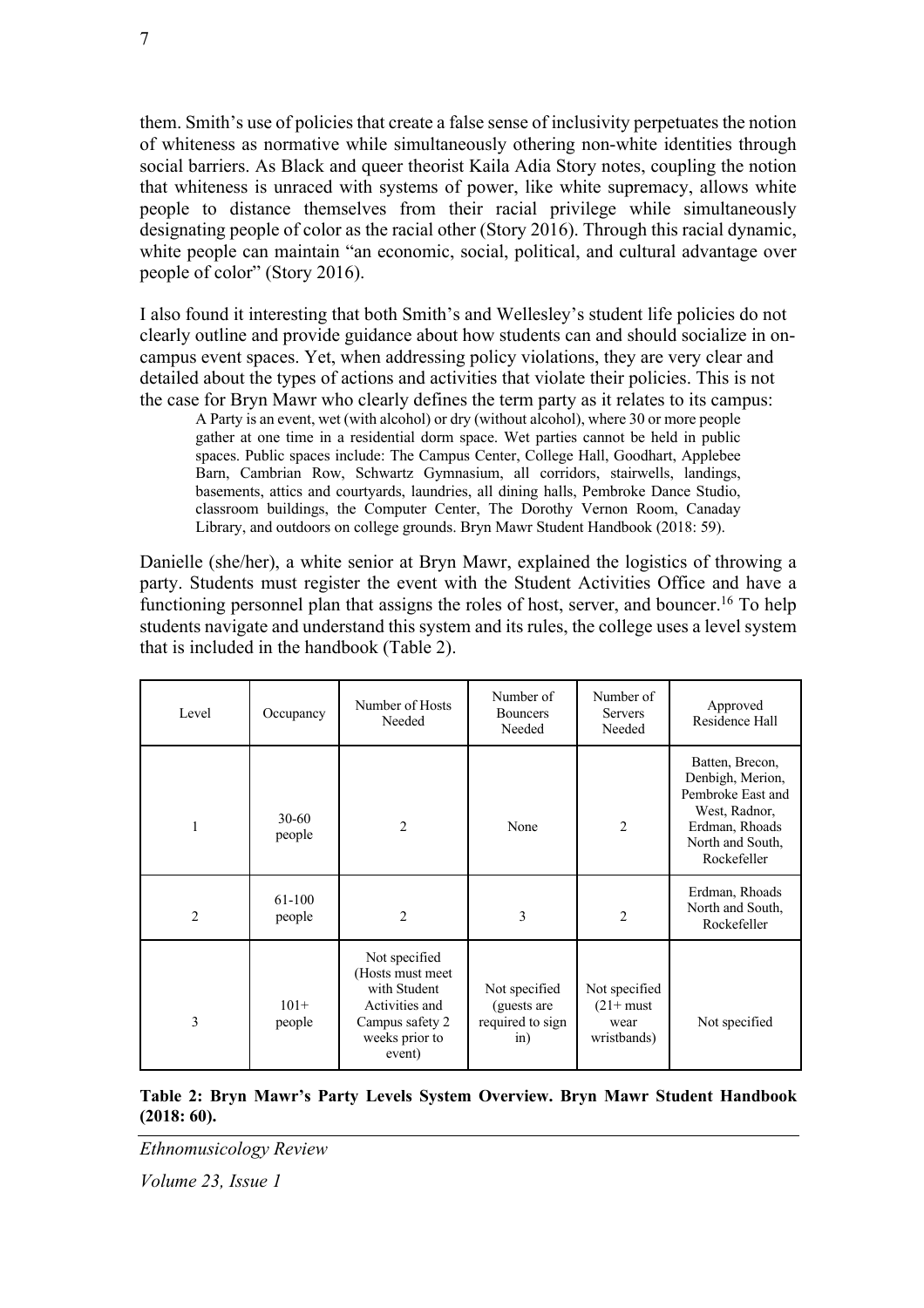them. Smith's use of policies that create a false sense of inclusivity perpetuates the notion of whiteness as normative while simultaneously othering non-white identities through social barriers. As Black and queer theorist Kaila Adia Story notes, coupling the notion that whiteness is unraced with systems of power, like white supremacy, allows white people to distance themselves from their racial privilege while simultaneously designating people of color as the racial other (Story 2016). Through this racial dynamic, white people can maintain "an economic, social, political, and cultural advantage over people of color" (Story 2016).

I also found it interesting that both Smith's and Wellesley's student life policies do not clearly outline and provide guidance about how students can and should socialize in oncampus event spaces. Yet, when addressing policy violations, they are very clear and detailed about the types of actions and activities that violate their policies. This is not the case for Bryn Mawr who clearly defines the term party as it relates to its campus:

A Party is an event, wet (with alcohol) or dry (without alcohol), where 30 or more people gather at one time in a residential dorm space. Wet parties cannot be held in public spaces. Public spaces include: The Campus Center, College Hall, Goodhart, Applebee Barn, Cambrian Row, Schwartz Gymnasium, all corridors, stairwells, landings, basements, attics and courtyards, laundries, all dining halls, Pembroke Dance Studio, classroom buildings, the Computer Center, The Dorothy Vernon Room, Canaday Library, and outdoors on college grounds. Bryn Mawr Student Handbook (2018: 59).

Danielle (she/her), a white senior at Bryn Mawr, explained the logistics of throwing a party. Students must register the event with the Student Activities Office and have a functioning personnel plan that assigns the roles of host, server, and bouncer.<sup>16</sup> To help students navigate and understand this system and its rules, the college uses a level system that is included in the handbook (Table 2).

| Level          | Occupancy           | Number of Hosts<br>Needed                                                                                          | Number of<br><b>Bouncers</b><br>Needed                      | Number of<br><b>Servers</b><br>Needed               | Approved<br>Residence Hall                                                                                                     |
|----------------|---------------------|--------------------------------------------------------------------------------------------------------------------|-------------------------------------------------------------|-----------------------------------------------------|--------------------------------------------------------------------------------------------------------------------------------|
| 1              | $30 - 60$<br>people | 2                                                                                                                  | None                                                        | $\overline{2}$                                      | Batten, Brecon,<br>Denbigh, Merion,<br>Pembroke East and<br>West, Radnor,<br>Erdman, Rhoads<br>North and South,<br>Rockefeller |
| $\overline{2}$ | 61-100<br>people    | 2                                                                                                                  | 3                                                           | $\overline{2}$                                      | Erdman, Rhoads<br>North and South,<br>Rockefeller                                                                              |
| 3              | $101+$<br>people    | Not specified<br>(Hosts must meet<br>with Student<br>Activities and<br>Campus safety 2<br>weeks prior to<br>event) | Not specified<br>(guests are<br>required to sign<br>$\sin)$ | Not specified<br>$(21+$ must<br>wear<br>wristbands) | Not specified                                                                                                                  |

**Table 2: Bryn Mawr's Party Levels System Overview. Bryn Mawr Student Handbook (2018: 60).**

*Ethnomusicology Review*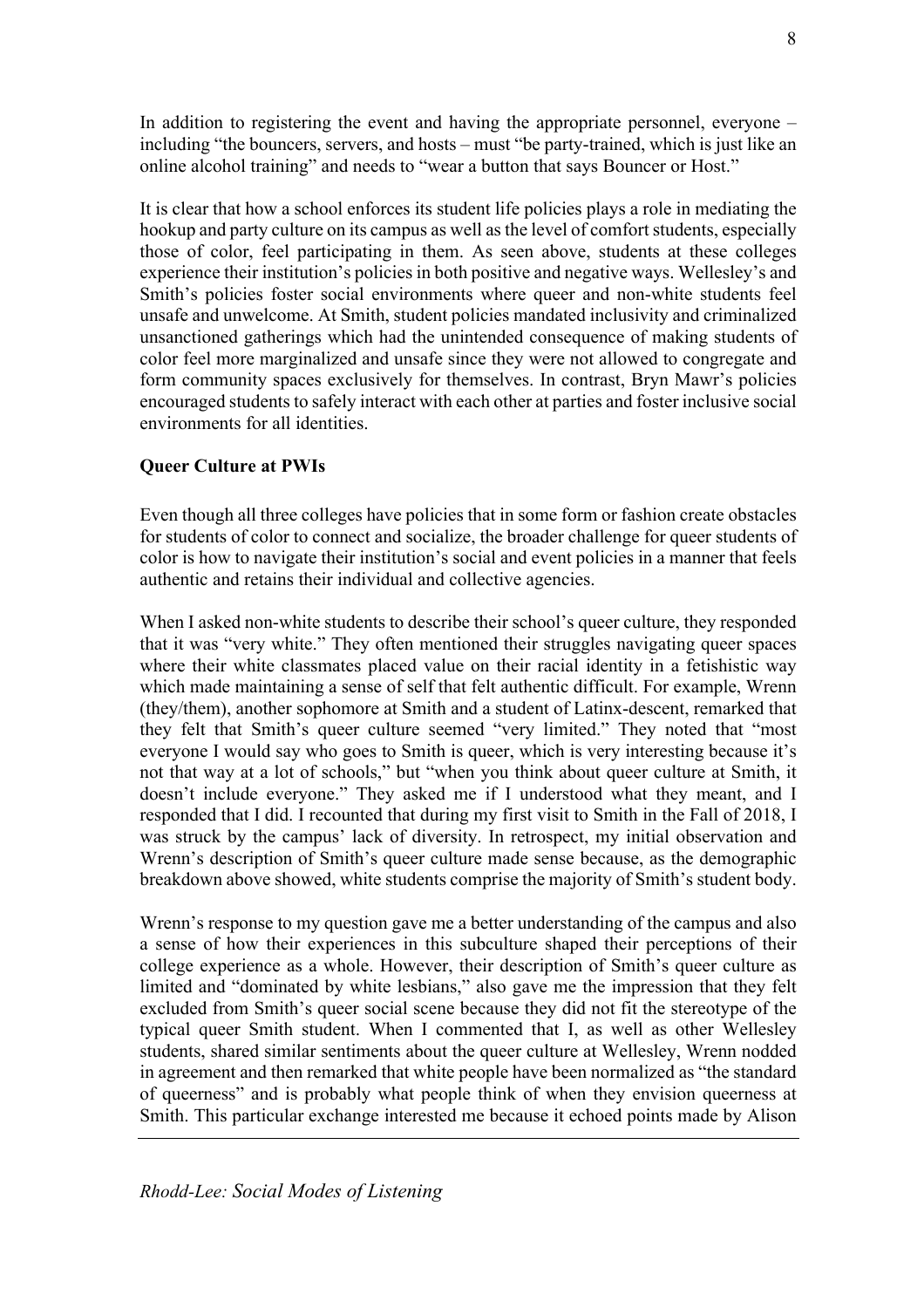In addition to registering the event and having the appropriate personnel, everyone – including "the bouncers, servers, and hosts – must "be party-trained, which is just like an online alcohol training" and needs to "wear a button that says Bouncer or Host."

It is clear that how a school enforces its student life policies plays a role in mediating the hookup and party culture on its campus as well as the level of comfort students, especially those of color, feel participating in them. As seen above, students at these colleges experience their institution's policies in both positive and negative ways. Wellesley's and Smith's policies foster social environments where queer and non-white students feel unsafe and unwelcome. At Smith, student policies mandated inclusivity and criminalized unsanctioned gatherings which had the unintended consequence of making students of color feel more marginalized and unsafe since they were not allowed to congregate and form community spaces exclusively for themselves. In contrast, Bryn Mawr's policies encouraged students to safely interact with each other at parties and foster inclusive social environments for all identities.

### **Queer Culture at PWIs**

Even though all three colleges have policies that in some form or fashion create obstacles for students of color to connect and socialize, the broader challenge for queer students of color is how to navigate their institution's social and event policies in a manner that feels authentic and retains their individual and collective agencies.

When I asked non-white students to describe their school's queer culture, they responded that it was "very white." They often mentioned their struggles navigating queer spaces where their white classmates placed value on their racial identity in a fetishistic way which made maintaining a sense of self that felt authentic difficult. For example, Wrenn (they/them), another sophomore at Smith and a student of Latinx-descent, remarked that they felt that Smith's queer culture seemed "very limited." They noted that "most everyone I would say who goes to Smith is queer, which is very interesting because it's not that way at a lot of schools," but "when you think about queer culture at Smith, it doesn't include everyone." They asked me if I understood what they meant, and I responded that I did. I recounted that during my first visit to Smith in the Fall of 2018, I was struck by the campus' lack of diversity. In retrospect, my initial observation and Wrenn's description of Smith's queer culture made sense because, as the demographic breakdown above showed, white students comprise the majority of Smith's student body.

Wrenn's response to my question gave me a better understanding of the campus and also a sense of how their experiences in this subculture shaped their perceptions of their college experience as a whole. However, their description of Smith's queer culture as limited and "dominated by white lesbians," also gave me the impression that they felt excluded from Smith's queer social scene because they did not fit the stereotype of the typical queer Smith student. When I commented that I, as well as other Wellesley students, shared similar sentiments about the queer culture at Wellesley, Wrenn nodded in agreement and then remarked that white people have been normalized as "the standard of queerness" and is probably what people think of when they envision queerness at Smith. This particular exchange interested me because it echoed points made by Alison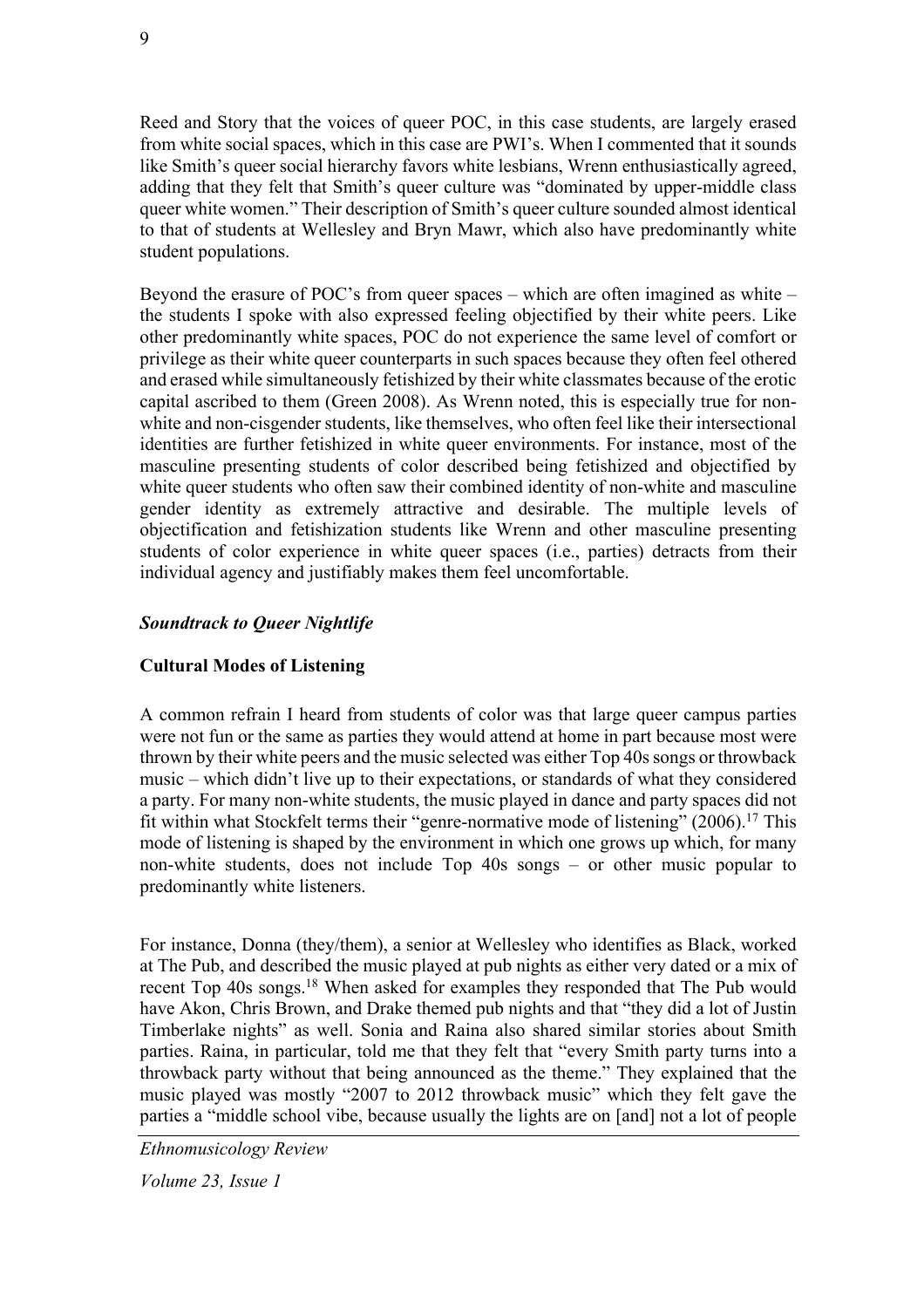Reed and Story that the voices of queer POC, in this case students, are largely erased from white social spaces, which in this case are PWI's. When I commented that it sounds like Smith's queer social hierarchy favors white lesbians, Wrenn enthusiastically agreed, adding that they felt that Smith's queer culture was "dominated by upper-middle class queer white women." Their description of Smith's queer culture sounded almost identical to that of students at Wellesley and Bryn Mawr, which also have predominantly white student populations.

Beyond the erasure of POC's from queer spaces – which are often imagined as white – the students I spoke with also expressed feeling objectified by their white peers. Like other predominantly white spaces, POC do not experience the same level of comfort or privilege as their white queer counterparts in such spaces because they often feel othered and erased while simultaneously fetishized by their white classmates because of the erotic capital ascribed to them (Green 2008). As Wrenn noted, this is especially true for nonwhite and non-cisgender students, like themselves, who often feel like their intersectional identities are further fetishized in white queer environments. For instance, most of the masculine presenting students of color described being fetishized and objectified by white queer students who often saw their combined identity of non-white and masculine gender identity as extremely attractive and desirable. The multiple levels of objectification and fetishization students like Wrenn and other masculine presenting students of color experience in white queer spaces (i.e., parties) detracts from their individual agency and justifiably makes them feel uncomfortable.

## *Soundtrack to Queer Nightlife*

### **Cultural Modes of Listening**

A common refrain I heard from students of color was that large queer campus parties were not fun or the same as parties they would attend at home in part because most were thrown by their white peers and the music selected was either Top 40s songs or throwback music – which didn't live up to their expectations, or standards of what they considered a party. For many non-white students, the music played in dance and party spaces did not fit within what Stockfelt terms their "genre-normative mode of listening"  $(2006)^{17}$  This mode of listening is shaped by the environment in which one grows up which, for many non-white students, does not include Top 40s songs – or other music popular to predominantly white listeners.

For instance, Donna (they/them), a senior at Wellesley who identifies as Black, worked at The Pub, and described the music played at pub nights as either very dated or a mix of recent Top 40s songs.18 When asked for examples they responded that The Pub would have Akon, Chris Brown, and Drake themed pub nights and that "they did a lot of Justin Timberlake nights" as well. Sonia and Raina also shared similar stories about Smith parties. Raina, in particular, told me that they felt that "every Smith party turns into a throwback party without that being announced as the theme." They explained that the music played was mostly "2007 to 2012 throwback music" which they felt gave the parties a "middle school vibe, because usually the lights are on [and] not a lot of people

*Ethnomusicology Review*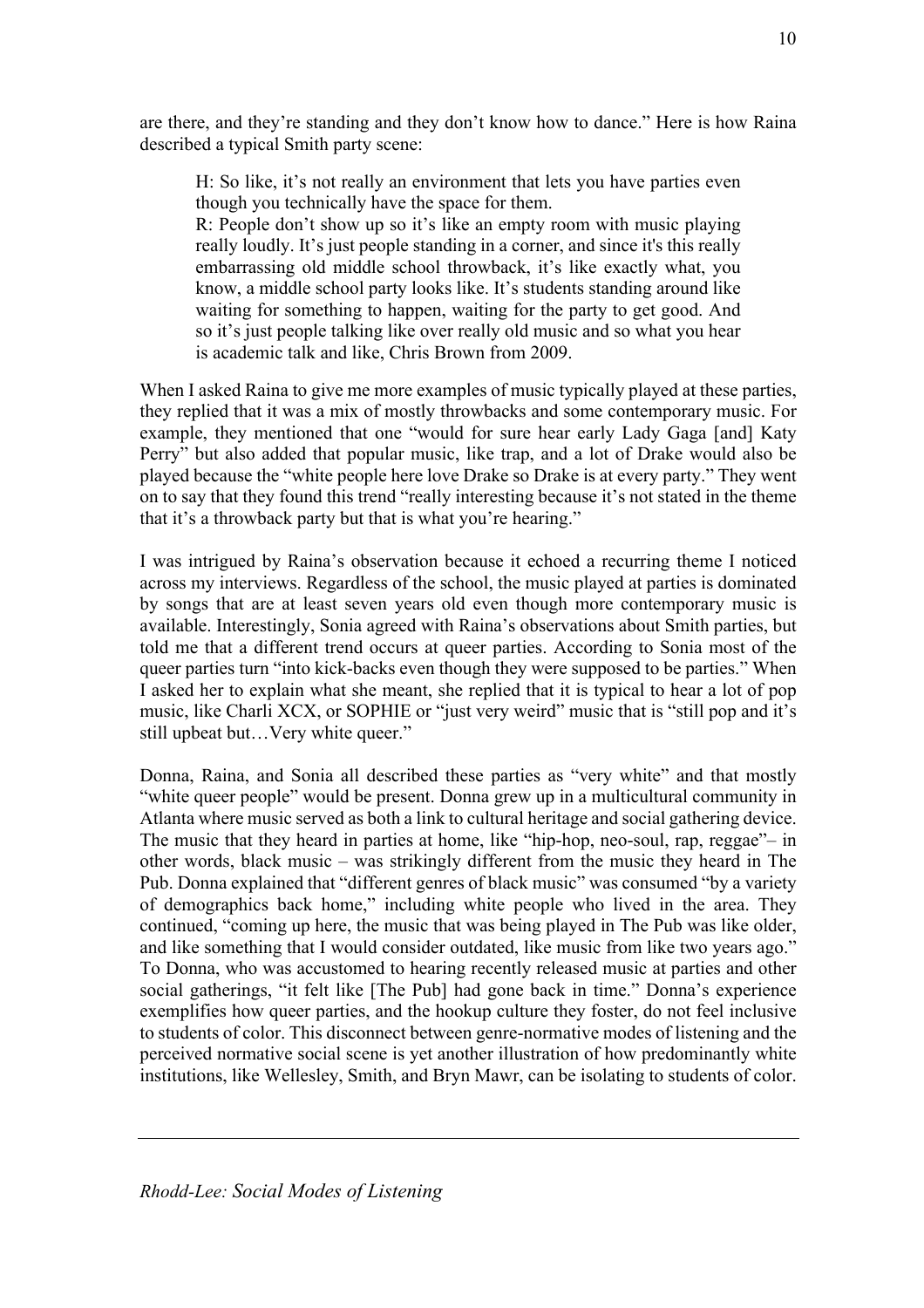are there, and they're standing and they don't know how to dance." Here is how Raina described a typical Smith party scene:

H: So like, it's not really an environment that lets you have parties even though you technically have the space for them.

R: People don't show up so it's like an empty room with music playing really loudly. It's just people standing in a corner, and since it's this really embarrassing old middle school throwback, it's like exactly what, you know, a middle school party looks like. It's students standing around like waiting for something to happen, waiting for the party to get good. And so it's just people talking like over really old music and so what you hear is academic talk and like, Chris Brown from 2009.

When I asked Raina to give me more examples of music typically played at these parties, they replied that it was a mix of mostly throwbacks and some contemporary music. For example, they mentioned that one "would for sure hear early Lady Gaga [and] Katy Perry" but also added that popular music, like trap, and a lot of Drake would also be played because the "white people here love Drake so Drake is at every party." They went on to say that they found this trend "really interesting because it's not stated in the theme that it's a throwback party but that is what you're hearing."

I was intrigued by Raina's observation because it echoed a recurring theme I noticed across my interviews. Regardless of the school, the music played at parties is dominated by songs that are at least seven years old even though more contemporary music is available. Interestingly, Sonia agreed with Raina's observations about Smith parties, but told me that a different trend occurs at queer parties. According to Sonia most of the queer parties turn "into kick-backs even though they were supposed to be parties." When I asked her to explain what she meant, she replied that it is typical to hear a lot of pop music, like Charli XCX, or SOPHIE or "just very weird" music that is "still pop and it's still upbeat but…Very white queer."

Donna, Raina, and Sonia all described these parties as "very white" and that mostly "white queer people" would be present. Donna grew up in a multicultural community in Atlanta where music served as both a link to cultural heritage and social gathering device. The music that they heard in parties at home, like "hip-hop, neo-soul, rap, reggae"– in other words, black music – was strikingly different from the music they heard in The Pub. Donna explained that "different genres of black music" was consumed "by a variety of demographics back home," including white people who lived in the area. They continued, "coming up here, the music that was being played in The Pub was like older, and like something that I would consider outdated, like music from like two years ago." To Donna, who was accustomed to hearing recently released music at parties and other social gatherings, "it felt like [The Pub] had gone back in time." Donna's experience exemplifies how queer parties, and the hookup culture they foster, do not feel inclusive to students of color. This disconnect between genre-normative modes of listening and the perceived normative social scene is yet another illustration of how predominantly white institutions, like Wellesley, Smith, and Bryn Mawr, can be isolating to students of color.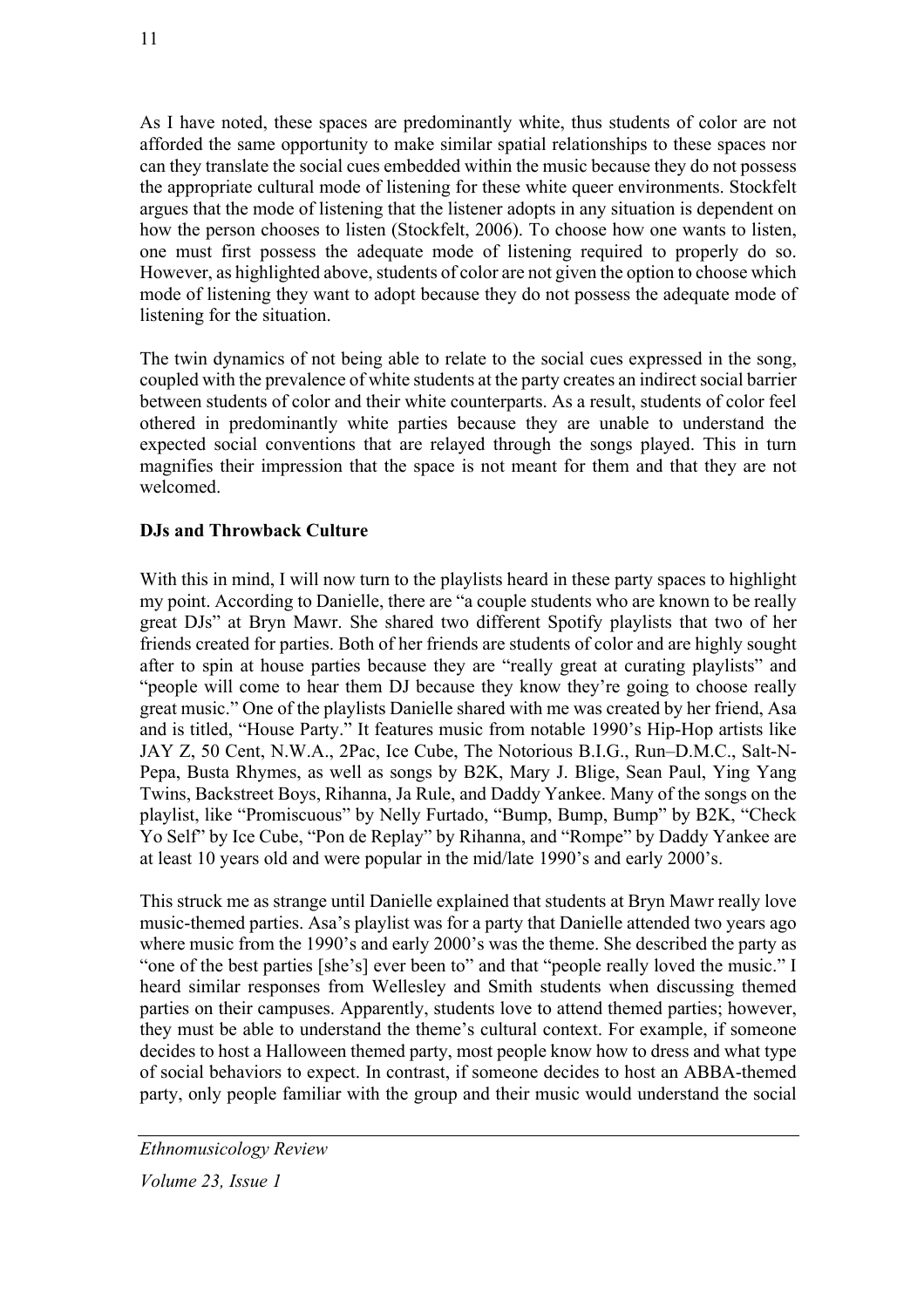As I have noted, these spaces are predominantly white, thus students of color are not afforded the same opportunity to make similar spatial relationships to these spaces nor can they translate the social cues embedded within the music because they do not possess the appropriate cultural mode of listening for these white queer environments. Stockfelt argues that the mode of listening that the listener adopts in any situation is dependent on how the person chooses to listen (Stockfelt, 2006). To choose how one wants to listen, one must first possess the adequate mode of listening required to properly do so. However, as highlighted above, students of color are not given the option to choose which mode of listening they want to adopt because they do not possess the adequate mode of listening for the situation.

The twin dynamics of not being able to relate to the social cues expressed in the song, coupled with the prevalence of white students at the party creates an indirect social barrier between students of color and their white counterparts. As a result, students of color feel othered in predominantly white parties because they are unable to understand the expected social conventions that are relayed through the songs played. This in turn magnifies their impression that the space is not meant for them and that they are not welcomed.

## **DJs and Throwback Culture**

With this in mind, I will now turn to the playlists heard in these party spaces to highlight my point. According to Danielle, there are "a couple students who are known to be really great DJs" at Bryn Mawr. She shared two different Spotify playlists that two of her friends created for parties. Both of her friends are students of color and are highly sought after to spin at house parties because they are "really great at curating playlists" and "people will come to hear them DJ because they know they're going to choose really great music." One of the playlists Danielle shared with me was created by her friend, Asa and is titled, "House Party." It features music from notable 1990's Hip-Hop artists like JAY Z, 50 Cent, N.W.A., 2Pac, Ice Cube, The Notorious B.I.G., Run–D.M.C., Salt-N-Pepa, Busta Rhymes, as well as songs by B2K, Mary J. Blige, Sean Paul, Ying Yang Twins, Backstreet Boys, Rihanna, Ja Rule, and Daddy Yankee. Many of the songs on the playlist, like "Promiscuous" by Nelly Furtado, "Bump, Bump, Bump" by B2K, "Check Yo Self" by Ice Cube, "Pon de Replay" by Rihanna, and "Rompe" by Daddy Yankee are at least 10 years old and were popular in the mid/late 1990's and early 2000's.

This struck me as strange until Danielle explained that students at Bryn Mawr really love music-themed parties. Asa's playlist was for a party that Danielle attended two years ago where music from the 1990's and early 2000's was the theme. She described the party as "one of the best parties [she's] ever been to" and that "people really loved the music." I heard similar responses from Wellesley and Smith students when discussing themed parties on their campuses. Apparently, students love to attend themed parties; however, they must be able to understand the theme's cultural context. For example, if someone decides to host a Halloween themed party, most people know how to dress and what type of social behaviors to expect. In contrast, if someone decides to host an ABBA-themed party, only people familiar with the group and their music would understand the social

*Ethnomusicology Review Volume 23, Issue 1*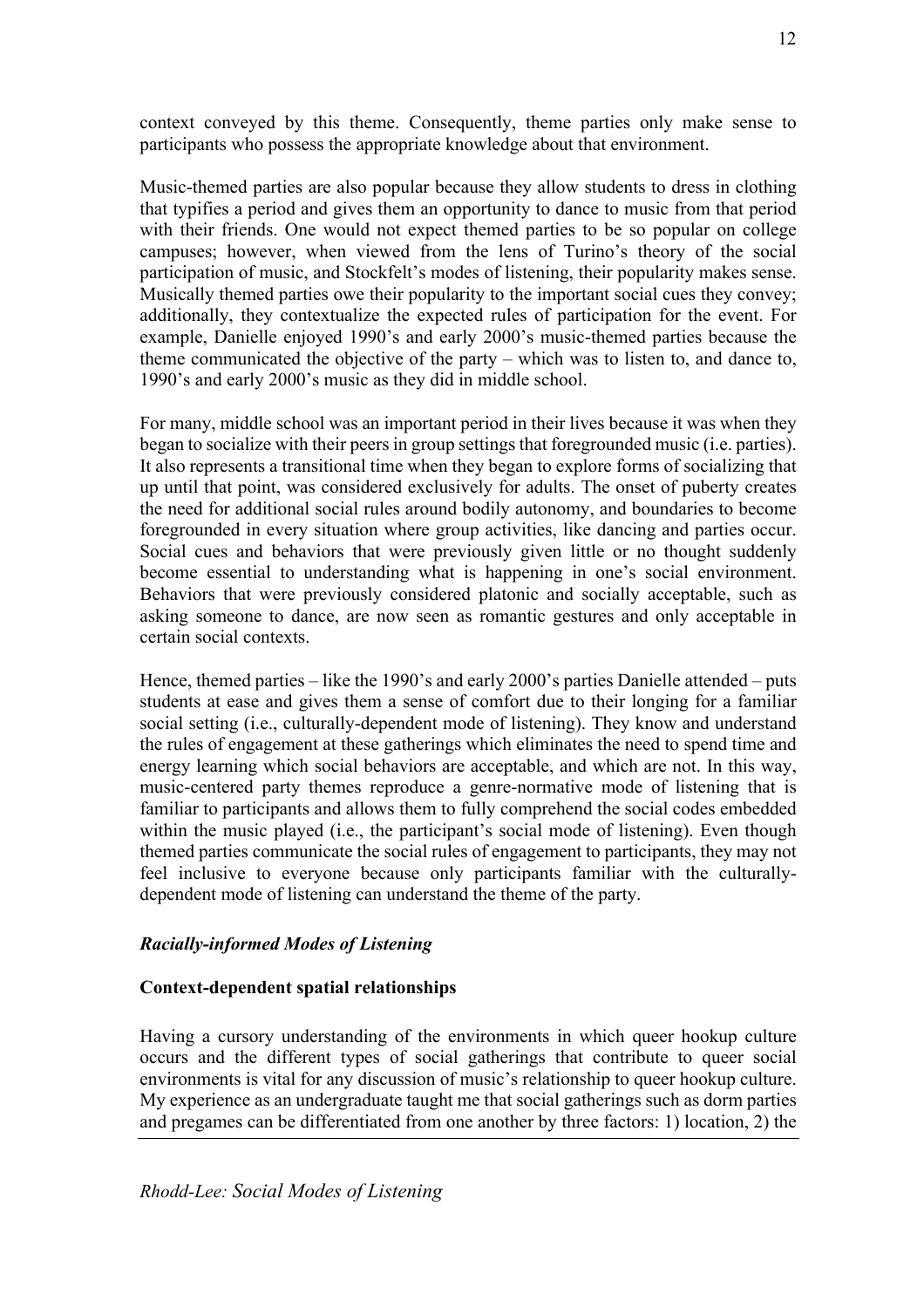context conveyed by this theme. Consequently, theme parties only make sense to participants who possess the appropriate knowledge about that environment.

Music-themed parties are also popular because they allow students to dress in clothing that typifies a period and gives them an opportunity to dance to music from that period with their friends. One would not expect themed parties to be so popular on college campuses; however, when viewed from the lens of Turino's theory of the social participation of music, and Stockfelt's modes of listening, their popularity makes sense. Musically themed parties owe their popularity to the important social cues they convey; additionally, they contextualize the expected rules of participation for the event. For example, Danielle enjoyed 1990's and early 2000's music-themed parties because the theme communicated the objective of the party – which was to listen to, and dance to, 1990's and early 2000's music as they did in middle school.

For many, middle school was an important period in their lives because it was when they began to socialize with their peers in group settings that foregrounded music (i.e. parties). It also represents a transitional time when they began to explore forms of socializing that up until that point, was considered exclusively for adults. The onset of puberty creates the need for additional social rules around bodily autonomy, and boundaries to become foregrounded in every situation where group activities, like dancing and parties occur. Social cues and behaviors that were previously given little or no thought suddenly become essential to understanding what is happening in one's social environment. Behaviors that were previously considered platonic and socially acceptable, such as asking someone to dance, are now seen as romantic gestures and only acceptable in certain social contexts.

Hence, themed parties – like the 1990's and early 2000's parties Danielle attended – puts students at ease and gives them a sense of comfort due to their longing for a familiar social setting (i.e., culturally-dependent mode of listening). They know and understand the rules of engagement at these gatherings which eliminates the need to spend time and energy learning which social behaviors are acceptable, and which are not. In this way, music-centered party themes reproduce a genre-normative mode of listening that is familiar to participants and allows them to fully comprehend the social codes embedded within the music played (i.e., the participant's social mode of listening). Even though themed parties communicate the social rules of engagement to participants, they may not feel inclusive to everyone because only participants familiar with the culturallydependent mode of listening can understand the theme of the party.

### *Racially-informed Modes of Listening*

#### **Context-dependent spatial relationships**

Having a cursory understanding of the environments in which queer hookup culture occurs and the different types of social gatherings that contribute to queer social environments is vital for any discussion of music's relationship to queer hookup culture. My experience as an undergraduate taught me that social gatherings such as dorm parties and pregames can be differentiated from one another by three factors: 1) location, 2) the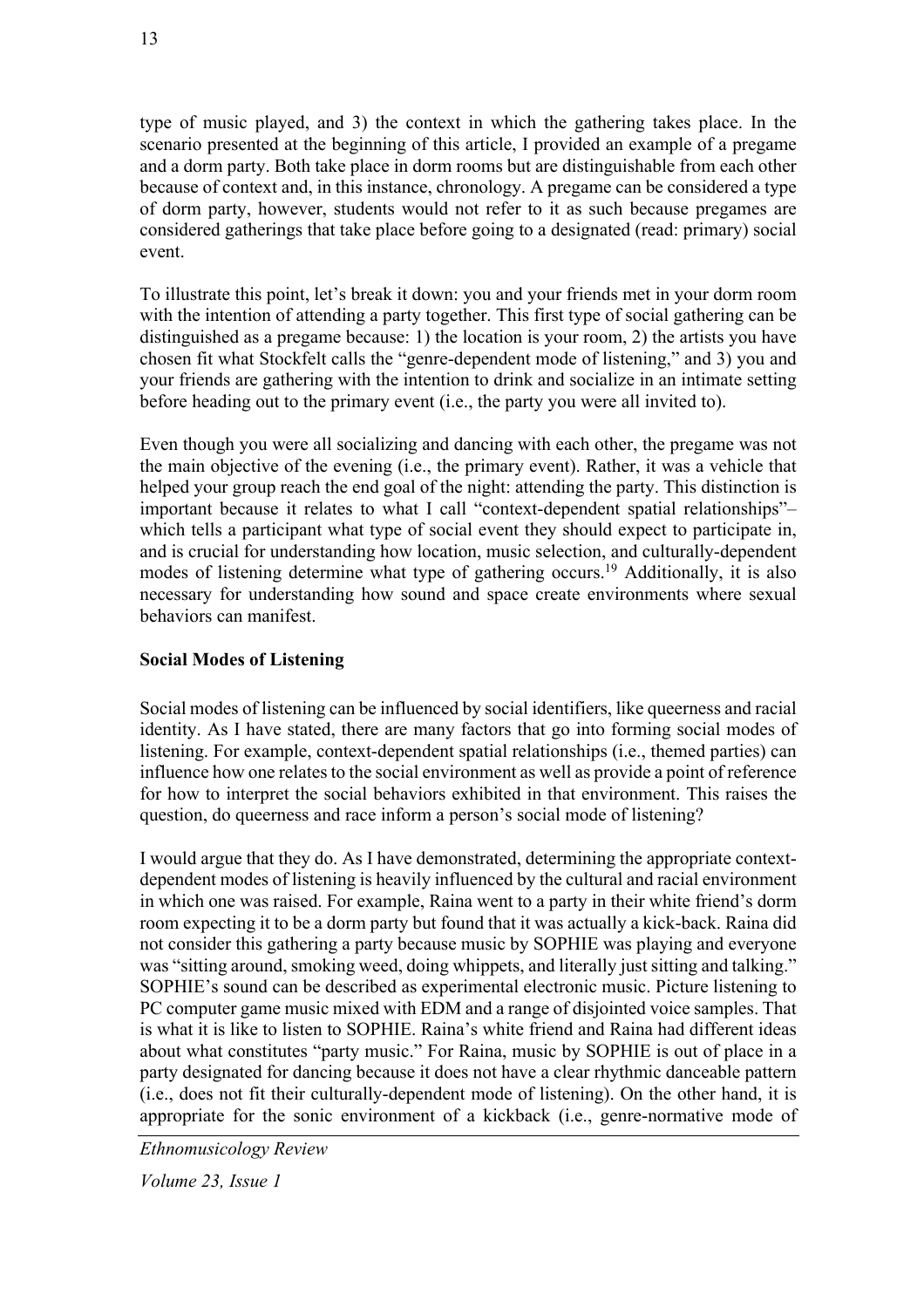type of music played, and 3) the context in which the gathering takes place. In the scenario presented at the beginning of this article, I provided an example of a pregame and a dorm party. Both take place in dorm rooms but are distinguishable from each other because of context and, in this instance, chronology. A pregame can be considered a type of dorm party, however, students would not refer to it as such because pregames are considered gatherings that take place before going to a designated (read: primary) social event.

To illustrate this point, let's break it down: you and your friends met in your dorm room with the intention of attending a party together. This first type of social gathering can be distinguished as a pregame because: 1) the location is your room, 2) the artists you have chosen fit what Stockfelt calls the "genre-dependent mode of listening," and 3) you and your friends are gathering with the intention to drink and socialize in an intimate setting before heading out to the primary event (i.e., the party you were all invited to).

Even though you were all socializing and dancing with each other, the pregame was not the main objective of the evening (i.e., the primary event). Rather, it was a vehicle that helped your group reach the end goal of the night: attending the party. This distinction is important because it relates to what I call "context-dependent spatial relationships"– which tells a participant what type of social event they should expect to participate in, and is crucial for understanding how location, music selection, and culturally-dependent modes of listening determine what type of gathering occurs.<sup>19</sup> Additionally, it is also necessary for understanding how sound and space create environments where sexual behaviors can manifest.

# **Social Modes of Listening**

Social modes of listening can be influenced by social identifiers, like queerness and racial identity. As I have stated, there are many factors that go into forming social modes of listening. For example, context-dependent spatial relationships (i.e., themed parties) can influence how one relates to the social environment as well as provide a point of reference for how to interpret the social behaviors exhibited in that environment. This raises the question, do queerness and race inform a person's social mode of listening?

I would argue that they do. As I have demonstrated, determining the appropriate contextdependent modes of listening is heavily influenced by the cultural and racial environment in which one was raised. For example, Raina went to a party in their white friend's dorm room expecting it to be a dorm party but found that it was actually a kick-back. Raina did not consider this gathering a party because music by SOPHIE was playing and everyone was "sitting around, smoking weed, doing whippets, and literally just sitting and talking." SOPHIE's sound can be described as experimental electronic music. Picture listening to PC computer game music mixed with EDM and a range of disjointed voice samples. That is what it is like to listen to SOPHIE. Raina's white friend and Raina had different ideas about what constitutes "party music." For Raina, music by SOPHIE is out of place in a party designated for dancing because it does not have a clear rhythmic danceable pattern (i.e., does not fit their culturally-dependent mode of listening). On the other hand, it is appropriate for the sonic environment of a kickback (i.e., genre-normative mode of

*Ethnomusicology Review*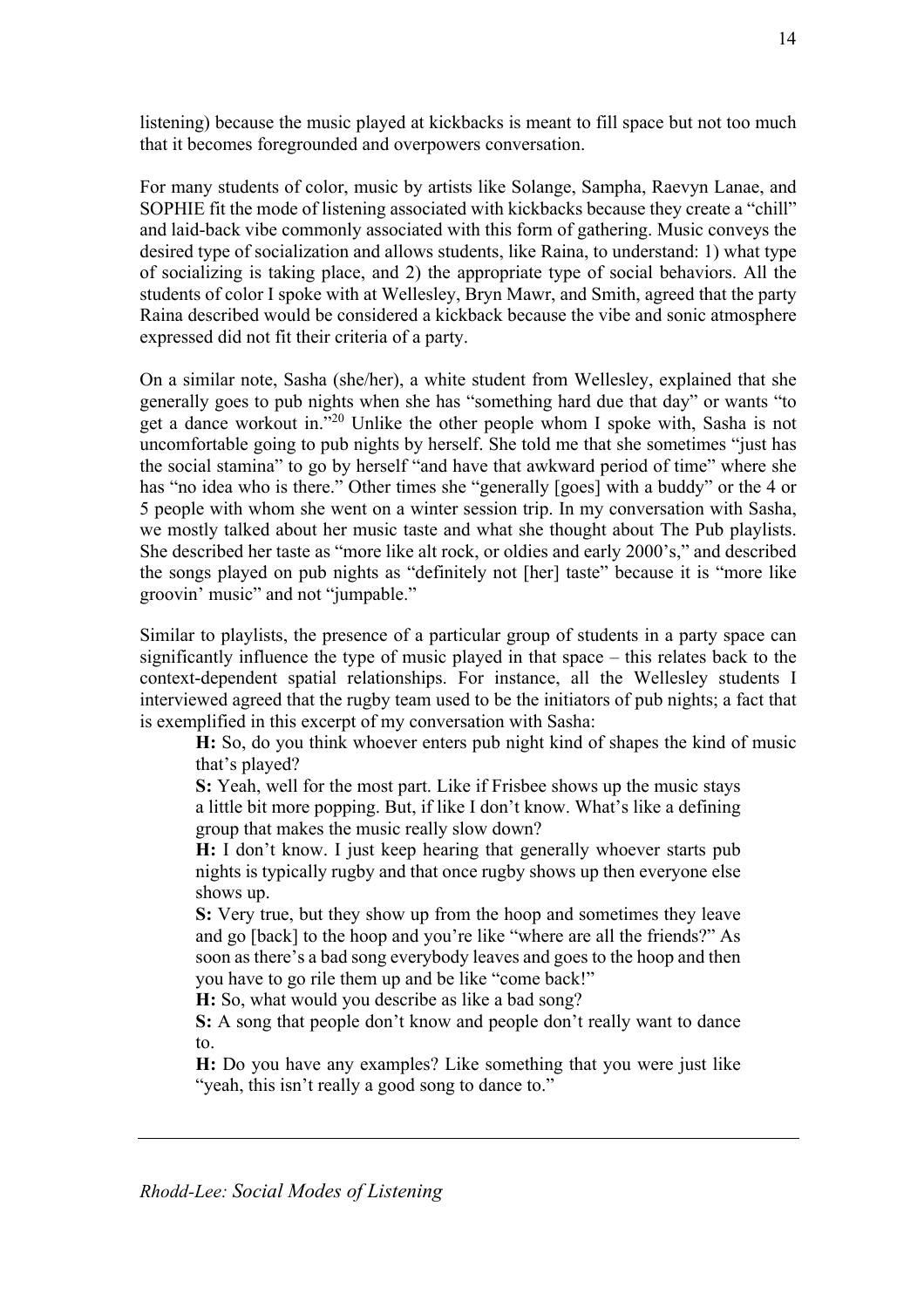listening) because the music played at kickbacks is meant to fill space but not too much that it becomes foregrounded and overpowers conversation.

For many students of color, music by artists like Solange, Sampha, Raevyn Lanae, and SOPHIE fit the mode of listening associated with kickbacks because they create a "chill" and laid-back vibe commonly associated with this form of gathering. Music conveys the desired type of socialization and allows students, like Raina, to understand: 1) what type of socializing is taking place, and 2) the appropriate type of social behaviors. All the students of color I spoke with at Wellesley, Bryn Mawr, and Smith, agreed that the party Raina described would be considered a kickback because the vibe and sonic atmosphere expressed did not fit their criteria of a party.

On a similar note, Sasha (she/her), a white student from Wellesley, explained that she generally goes to pub nights when she has "something hard due that day" or wants "to get a dance workout in."20 Unlike the other people whom I spoke with, Sasha is not uncomfortable going to pub nights by herself. She told me that she sometimes "just has the social stamina" to go by herself "and have that awkward period of time" where she has "no idea who is there." Other times she "generally [goes] with a buddy" or the 4 or 5 people with whom she went on a winter session trip. In my conversation with Sasha, we mostly talked about her music taste and what she thought about The Pub playlists. She described her taste as "more like alt rock, or oldies and early 2000's," and described the songs played on pub nights as "definitely not [her] taste" because it is "more like groovin' music" and not "jumpable."

Similar to playlists, the presence of a particular group of students in a party space can significantly influence the type of music played in that space – this relates back to the context-dependent spatial relationships. For instance, all the Wellesley students I interviewed agreed that the rugby team used to be the initiators of pub nights; a fact that is exemplified in this excerpt of my conversation with Sasha:

**H:** So, do you think whoever enters pub night kind of shapes the kind of music that's played?

**S:** Yeah, well for the most part. Like if Frisbee shows up the music stays a little bit more popping. But, if like I don't know. What's like a defining group that makes the music really slow down?

**H:** I don't know. I just keep hearing that generally whoever starts pub nights is typically rugby and that once rugby shows up then everyone else shows up.

**S:** Very true, but they show up from the hoop and sometimes they leave and go [back] to the hoop and you're like "where are all the friends?" As soon as there's a bad song everybody leaves and goes to the hoop and then you have to go rile them up and be like "come back!"

**H:** So, what would you describe as like a bad song?

**S:** A song that people don't know and people don't really want to dance to.

**H:** Do you have any examples? Like something that you were just like "yeah, this isn't really a good song to dance to."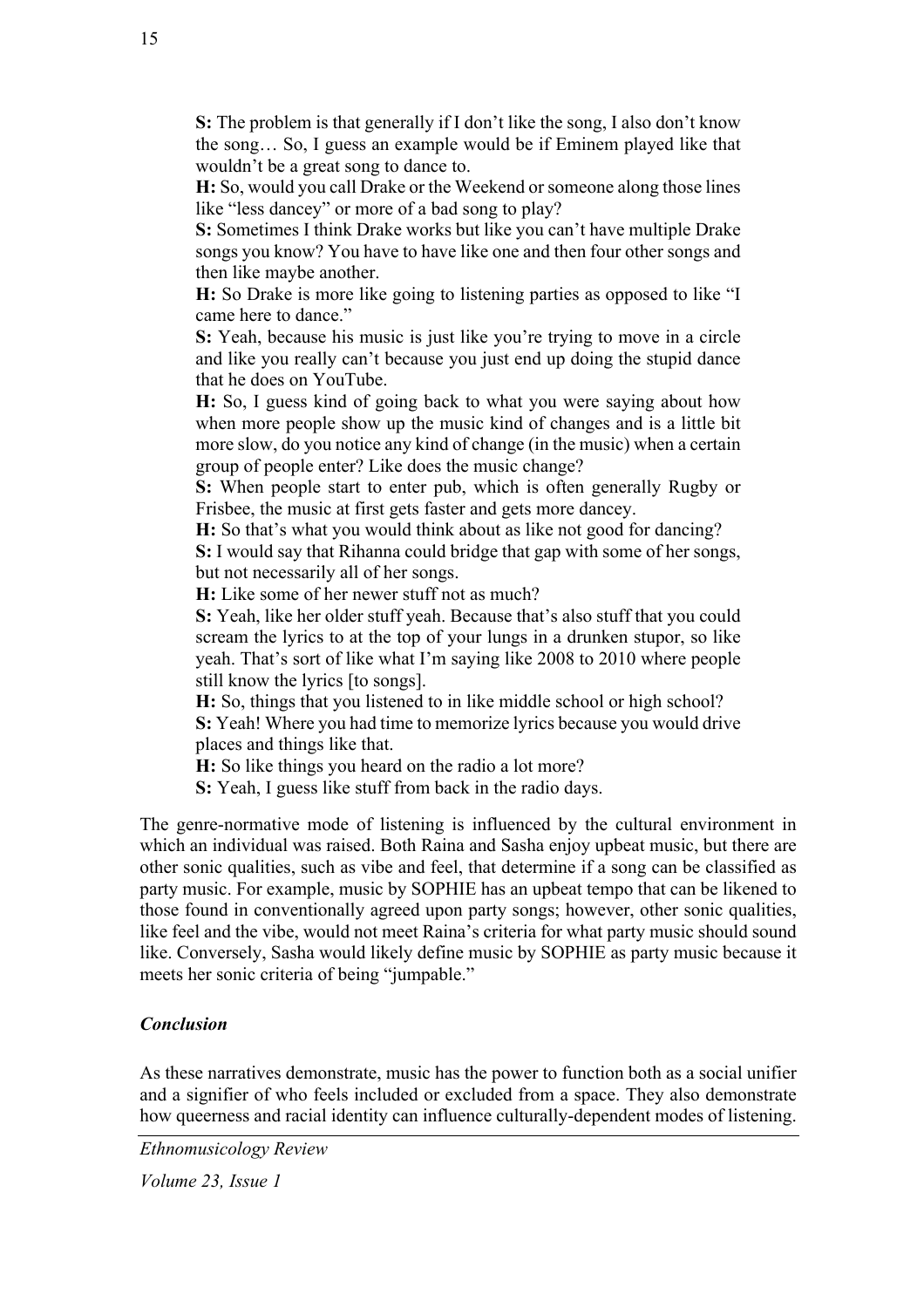**S:** The problem is that generally if I don't like the song, I also don't know the song… So, I guess an example would be if Eminem played like that wouldn't be a great song to dance to.

**H:** So, would you call Drake or the Weekend or someone along those lines like "less dancey" or more of a bad song to play?

**S:** Sometimes I think Drake works but like you can't have multiple Drake songs you know? You have to have like one and then four other songs and then like maybe another.

**H:** So Drake is more like going to listening parties as opposed to like "I came here to dance."

**S:** Yeah, because his music is just like you're trying to move in a circle and like you really can't because you just end up doing the stupid dance that he does on YouTube.

**H:** So, I guess kind of going back to what you were saying about how when more people show up the music kind of changes and is a little bit more slow, do you notice any kind of change (in the music) when a certain group of people enter? Like does the music change?

**S:** When people start to enter pub, which is often generally Rugby or Frisbee, the music at first gets faster and gets more dancey.

**H:** So that's what you would think about as like not good for dancing?

**S:** I would say that Rihanna could bridge that gap with some of her songs, but not necessarily all of her songs.

**H:** Like some of her newer stuff not as much?

**S:** Yeah, like her older stuff yeah. Because that's also stuff that you could scream the lyrics to at the top of your lungs in a drunken stupor, so like yeah. That's sort of like what I'm saying like 2008 to 2010 where people still know the lyrics [to songs].

**H:** So, things that you listened to in like middle school or high school? **S:** Yeah! Where you had time to memorize lyrics because you would drive places and things like that.

**H:** So like things you heard on the radio a lot more?

**S:** Yeah, I guess like stuff from back in the radio days.

The genre-normative mode of listening is influenced by the cultural environment in which an individual was raised. Both Raina and Sasha enjoy upbeat music, but there are other sonic qualities, such as vibe and feel, that determine if a song can be classified as party music. For example, music by SOPHIE has an upbeat tempo that can be likened to those found in conventionally agreed upon party songs; however, other sonic qualities, like feel and the vibe, would not meet Raina's criteria for what party music should sound like. Conversely, Sasha would likely define music by SOPHIE as party music because it meets her sonic criteria of being "jumpable."

#### *Conclusion*

As these narratives demonstrate, music has the power to function both as a social unifier and a signifier of who feels included or excluded from a space. They also demonstrate how queerness and racial identity can influence culturally-dependent modes of listening.

*Ethnomusicology Review*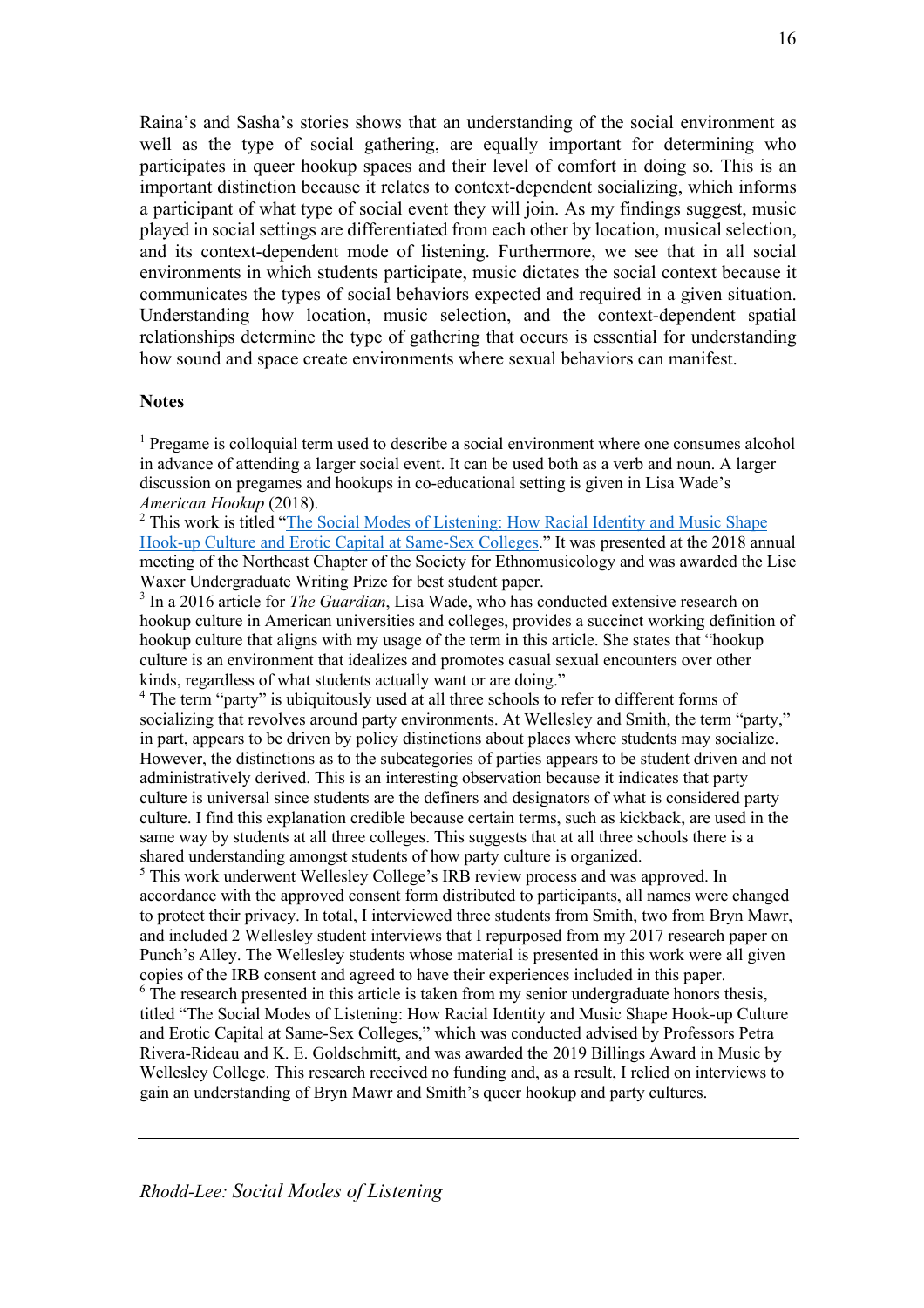Raina's and Sasha's stories shows that an understanding of the social environment as well as the type of social gathering, are equally important for determining who participates in queer hookup spaces and their level of comfort in doing so. This is an important distinction because it relates to context-dependent socializing, which informs a participant of what type of social event they will join. As my findings suggest, music played in social settings are differentiated from each other by location, musical selection, and its context-dependent mode of listening. Furthermore, we see that in all social environments in which students participate, music dictates the social context because it communicates the types of social behaviors expected and required in a given situation. Understanding how location, music selection, and the context-dependent spatial relationships determine the type of gathering that occurs is essential for understanding how sound and space create environments where sexual behaviors can manifest.

#### **Notes**

<sup>4</sup> The term "party" is ubiquitously used at all three schools to refer to different forms of socializing that revolves around party environments. At Wellesley and Smith, the term "party," in part, appears to be driven by policy distinctions about places where students may socialize. However, the distinctions as to the subcategories of parties appears to be student driven and not administratively derived. This is an interesting observation because it indicates that party culture is universal since students are the definers and designators of what is considered party culture. I find this explanation credible because certain terms, such as kickback, are used in the same way by students at all three colleges. This suggests that at all three schools there is a shared understanding amongst students of how party culture is organized.

<sup>5</sup> This work underwent Wellesley College's IRB review process and was approved. In accordance with the approved consent form distributed to participants, all names were changed to protect their privacy. In total, I interviewed three students from Smith, two from Bryn Mawr, and included 2 Wellesley student interviews that I repurposed from my 2017 research paper on Punch's Alley. The Wellesley students whose material is presented in this work were all given copies of the IRB consent and agreed to have their experiences included in this paper.

 $6$  The research presented in this article is taken from my senior undergraduate honors thesis, titled "The Social Modes of Listening: How Racial Identity and Music Shape Hook-up Culture and Erotic Capital at Same-Sex Colleges," which was conducted advised by Professors Petra Rivera-Rideau and K. E. Goldschmitt, and was awarded the 2019 Billings Award in Music by Wellesley College. This research received no funding and, as a result, I relied on interviews to gain an understanding of Bryn Mawr and Smith's queer hookup and party cultures.

 $<sup>1</sup>$  Pregame is colloquial term used to describe a social environment where one consumes alcohol</sup> in advance of attending a larger social event. It can be used both as a verb and noun. A larger discussion on pregames and hookups in co-educational setting is given in Lisa Wade's *American Hookup* (2018).

<sup>&</sup>lt;sup>2</sup> This work is titled "The Social Modes of Listening: How Racial Identity and Music Shape Hook-up Culture and Erotic Capital at Same-Sex Colleges." It was presented at the 2018 annual meeting of the Northeast Chapter of the Society for Ethnomusicology and was awarded the Lise Waxer Undergraduate Writing Prize for best student paper.

<sup>3</sup> In a 2016 article for *The Guardian*, Lisa Wade, who has conducted extensive research on hookup culture in American universities and colleges, provides a succinct working definition of hookup culture that aligns with my usage of the term in this article. She states that "hookup culture is an environment that idealizes and promotes casual sexual encounters over other kinds, regardless of what students actually want or are doing."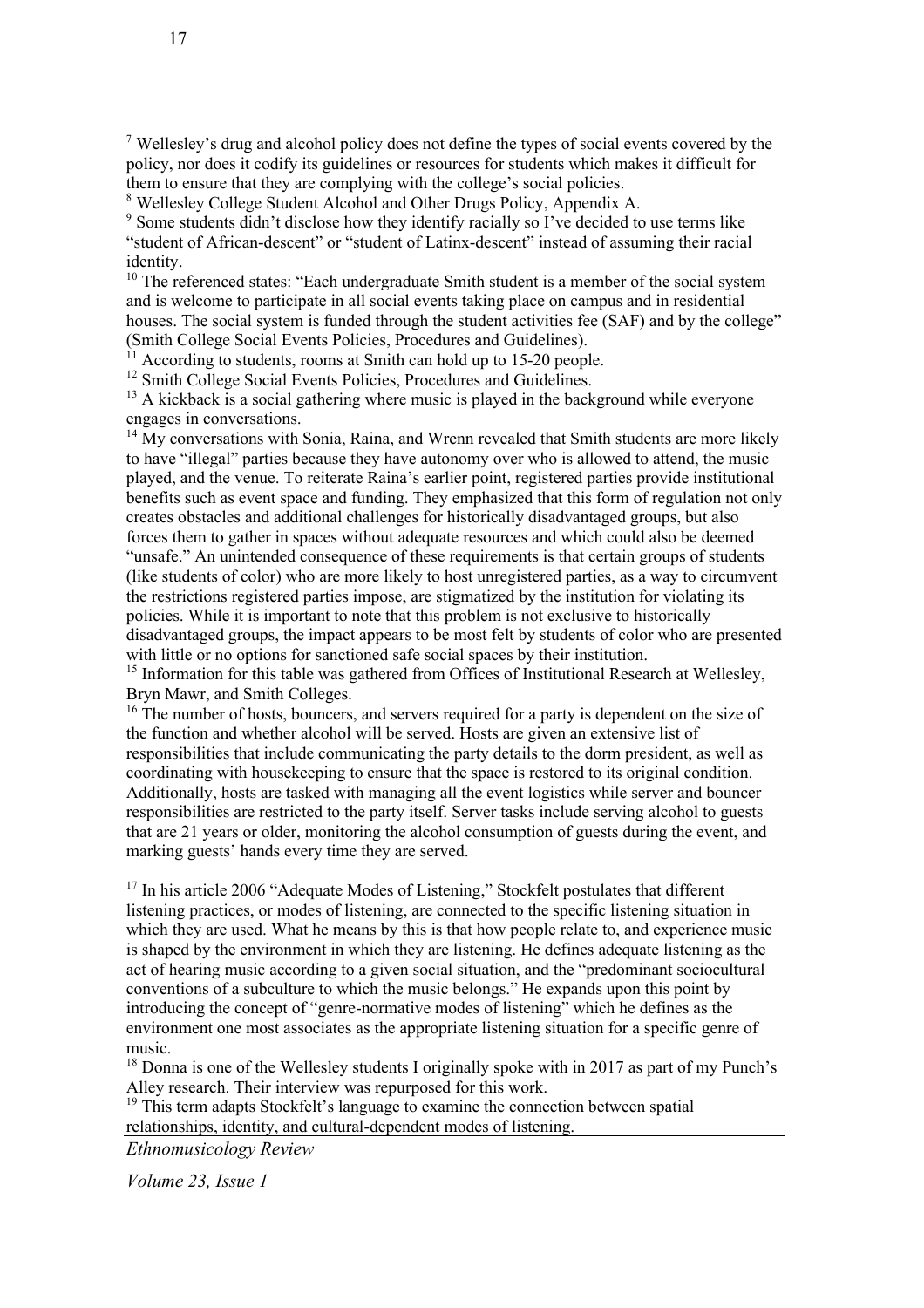$<sup>7</sup>$  Wellesley's drug and alcohol policy does not define the types of social events covered by the</sup> policy, nor does it codify its guidelines or resources for students which makes it difficult for them to ensure that they are complying with the college's social policies.

<sup>8</sup> Wellesley College Student Alcohol and Other Drugs Policy, Appendix A.

<sup>9</sup> Some students didn't disclose how they identify racially so I've decided to use terms like "student of African-descent" or "student of Latinx-descent" instead of assuming their racial identity.

 $10$  The referenced states: "Each undergraduate Smith student is a member of the social system and is welcome to participate in all social events taking place on campus and in residential houses. The social system is funded through the student activities fee (SAF) and by the college" (Smith College Social Events Policies, Procedures and Guidelines).

 $11$  According to students, rooms at Smith can hold up to 15-20 people.

<sup>12</sup> Smith College Social Events Policies, Procedures and Guidelines.

 $13$  A kickback is a social gathering where music is played in the background while everyone engages in conversations.

 $14$  My conversations with Sonia, Raina, and Wrenn revealed that Smith students are more likely to have "illegal" parties because they have autonomy over who is allowed to attend, the music played, and the venue. To reiterate Raina's earlier point, registered parties provide institutional benefits such as event space and funding. They emphasized that this form of regulation not only creates obstacles and additional challenges for historically disadvantaged groups, but also forces them to gather in spaces without adequate resources and which could also be deemed "unsafe." An unintended consequence of these requirements is that certain groups of students (like students of color) who are more likely to host unregistered parties, as a way to circumvent the restrictions registered parties impose, are stigmatized by the institution for violating its policies. While it is important to note that this problem is not exclusive to historically disadvantaged groups, the impact appears to be most felt by students of color who are presented with little or no options for sanctioned safe social spaces by their institution.

 $15$  Information for this table was gathered from Offices of Institutional Research at Wellesley, Bryn Mawr, and Smith Colleges.

 $16$ <sup>16</sup> The number of hosts, bouncers, and servers required for a party is dependent on the size of the function and whether alcohol will be served. Hosts are given an extensive list of responsibilities that include communicating the party details to the dorm president, as well as coordinating with housekeeping to ensure that the space is restored to its original condition. Additionally, hosts are tasked with managing all the event logistics while server and bouncer responsibilities are restricted to the party itself. Server tasks include serving alcohol to guests that are 21 years or older, monitoring the alcohol consumption of guests during the event, and marking guests' hands every time they are served.

<sup>17</sup> In his article 2006 "Adequate Modes of Listening," Stockfelt postulates that different listening practices, or modes of listening, are connected to the specific listening situation in which they are used. What he means by this is that how people relate to, and experience music is shaped by the environment in which they are listening. He defines adequate listening as the act of hearing music according to a given social situation, and the "predominant sociocultural conventions of a subculture to which the music belongs." He expands upon this point by introducing the concept of "genre-normative modes of listening" which he defines as the environment one most associates as the appropriate listening situation for a specific genre of music.

<sup>18</sup> Donna is one of the Wellesley students I originally spoke with in 2017 as part of my Punch's Alley research. Their interview was repurposed for this work.

 $19$  This term adapts Stockfelt's language to examine the connection between spatial relationships, identity, and cultural-dependent modes of listening.

*Ethnomusicology Review*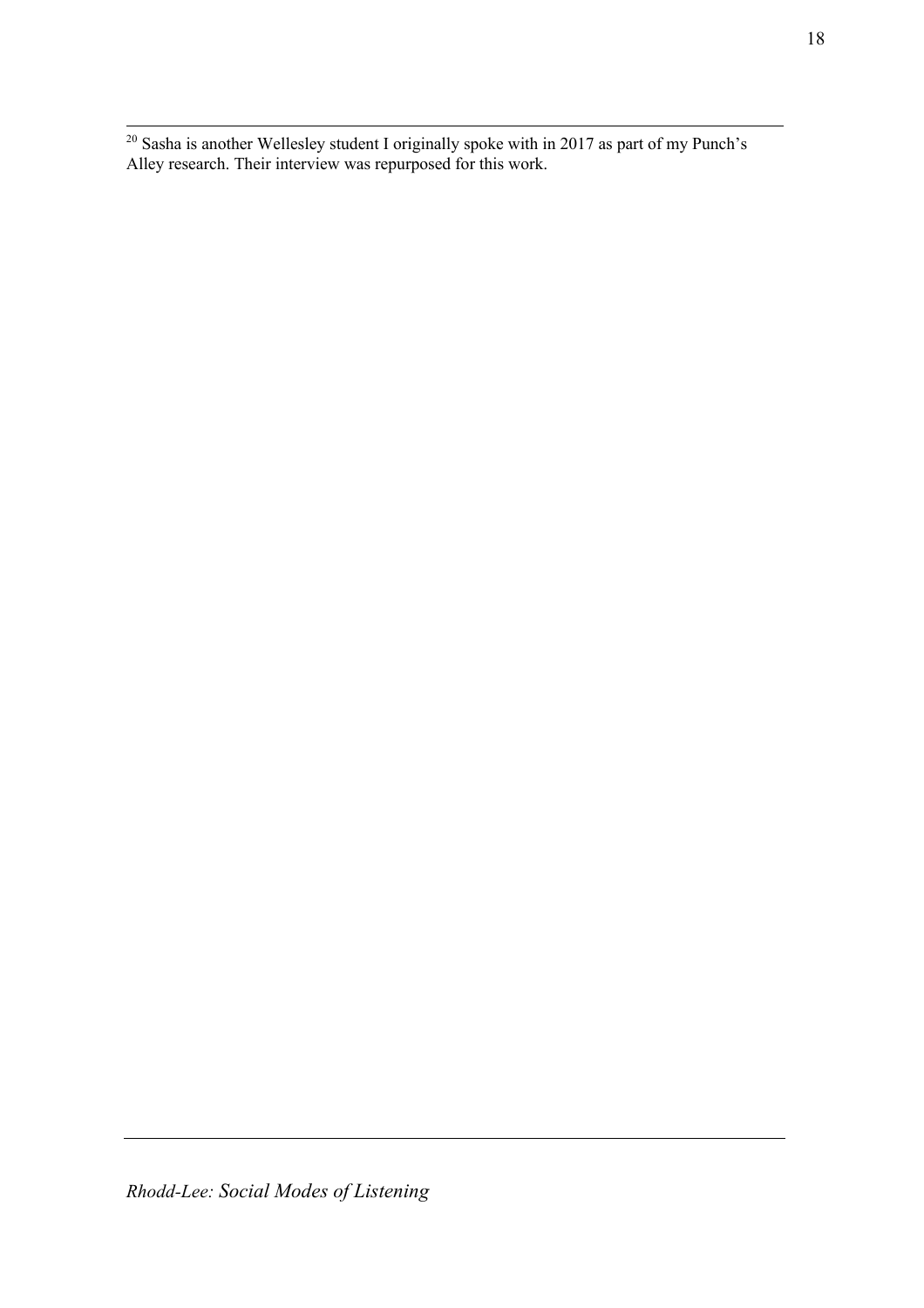$20$  Sasha is another Wellesley student I originally spoke with in 2017 as part of my Punch's Alley research. Their interview was repurposed for this work.